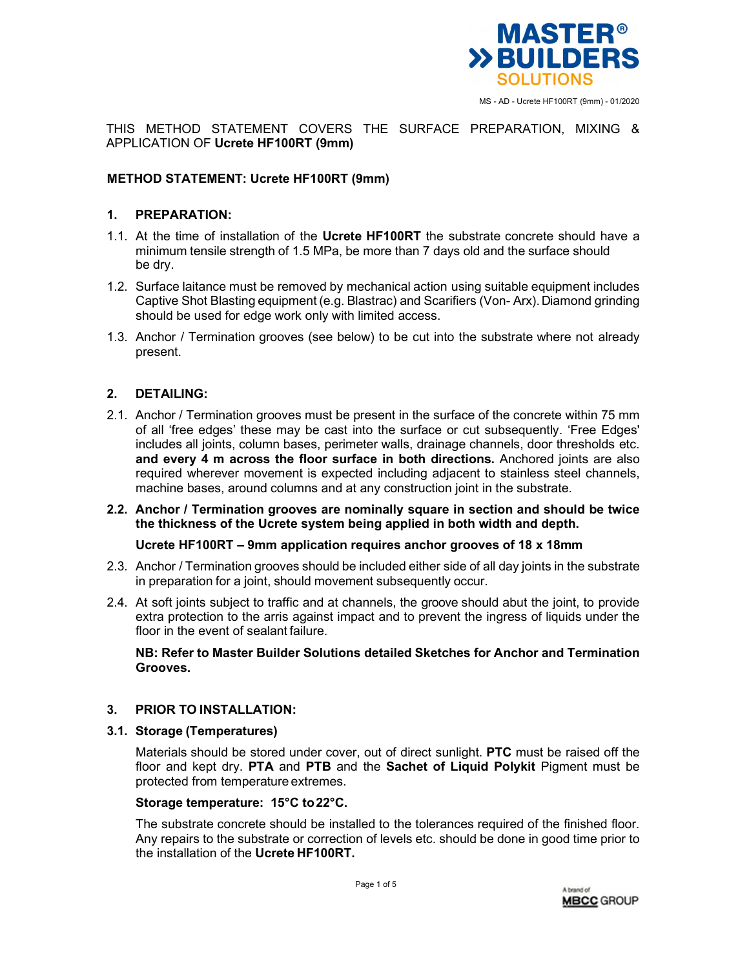

THIS METHOD STATEMENT COVERS THE SURFACE PREPARATION, MIXING & APPLICATION OF **Ucrete HF100RT (9mm)** 

## **METHOD STATEMENT: Ucrete HF100RT (9mm)**

## **1. PREPARATION:**

- 1.1. At the time of installation of the **Ucrete HF100RT** the substrate concrete should have a minimum tensile strength of 1.5 MPa, be more than 7 days old and the surface should be dry.
- 1.2. Surface laitance must be removed by mechanical action using suitable equipment includes Captive Shot Blasting equipment (e.g. Blastrac) and Scarifiers (Von- Arx). Diamond grinding should be used for edge work only with limited access.
- 1.3. Anchor / Termination grooves (see below) to be cut into the substrate where not already present.

### **2. DETAILING:**

- 2.1. Anchor / Termination grooves must be present in the surface of the concrete within 75 mm of all 'free edges' these may be cast into the surface or cut subsequently. 'Free Edges' includes all joints, column bases, perimeter walls, drainage channels, door thresholds etc. **and every 4 m across the floor surface in both directions.** Anchored joints are also required wherever movement is expected including adjacent to stainless steel channels, machine bases, around columns and at any construction joint in the substrate.
- **2.2. Anchor / Termination grooves are nominally square in section and should be twice the thickness of the Ucrete system being applied in both width and depth.**

#### **Ucrete HF100RT – 9mm application requires anchor grooves of 18 x 18mm**

- 2.3. Anchor / Termination grooves should be included either side of all day joints in the substrate in preparation for a joint, should movement subsequently occur.
- 2.4. At soft joints subject to traffic and at channels, the groove should abut the joint, to provide extra protection to the arris against impact and to prevent the ingress of liquids under the floor in the event of sealant failure.

**NB: Refer to Master Builder Solutions detailed Sketches for Anchor and Termination Grooves.** 

## **3. PRIOR TO INSTALLATION:**

### **3.1. Storage (Temperatures)**

Materials should be stored under cover, out of direct sunlight. **PTC** must be raised off the floor and kept dry. **PTA** and **PTB** and the **Sachet of Liquid Polykit** Pigment must be protected from temperature extremes.

#### **Storage temperature: 15°C to 22°C.**

The substrate concrete should be installed to the tolerances required of the finished floor. Any repairs to the substrate or correction of levels etc. should be done in good time prior to the installation of the **Ucrete HF100RT.**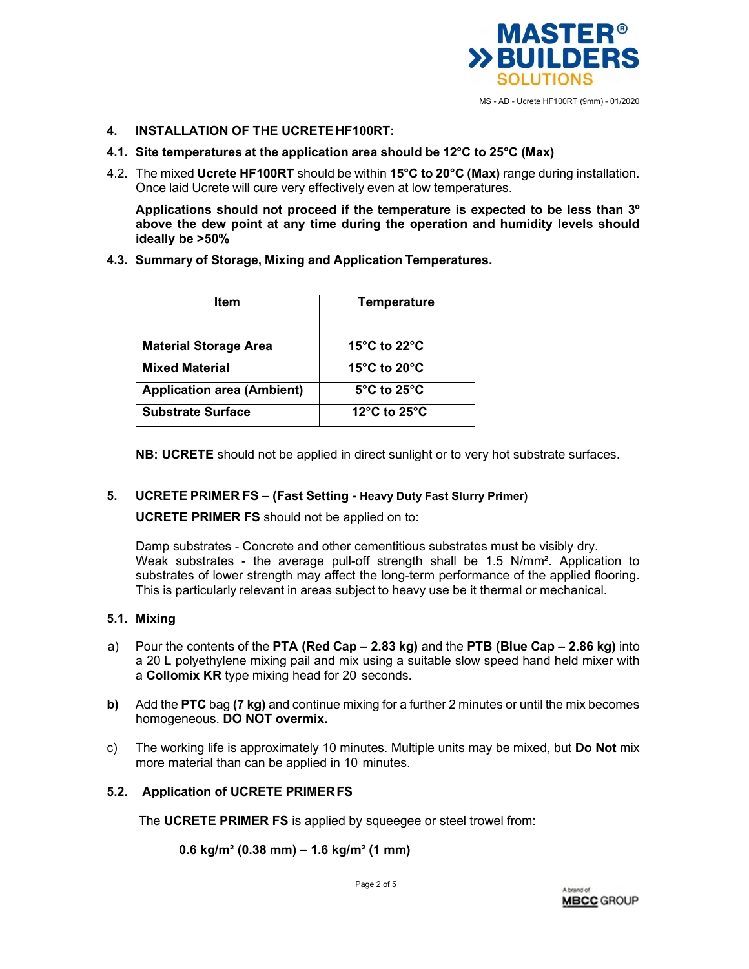

## **4. INSTALLATION OF THE UCRETE HF100RT:**

- **4.1. Site temperatures at the application area should be 12°C to 25°C (Max)**
- 4.2. The mixed **Ucrete HF100RT** should be within **15°C to 20°C (Max)** range during installation. Once laid Ucrete will cure very effectively even at low temperatures.

**Applications should not proceed if the temperature is expected to be less than 3º above the dew point at any time during the operation and humidity levels should ideally be >50%** 

**4.3. Summary of Storage, Mixing and Application Temperatures.** 

| Item                              | <b>Temperature</b>               |
|-----------------------------------|----------------------------------|
|                                   |                                  |
| <b>Material Storage Area</b>      | 15 $\degree$ C to 22 $\degree$ C |
| <b>Mixed Material</b>             | 15 $\degree$ C to 20 $\degree$ C |
| <b>Application area (Ambient)</b> | $5^{\circ}$ C to 25 $^{\circ}$ C |
| <b>Substrate Surface</b>          | 12 $\degree$ C to 25 $\degree$ C |

**NB: UCRETE** should not be applied in direct sunlight or to very hot substrate surfaces.

## **5. UCRETE PRIMER FS – (Fast Setting - Heavy Duty Fast Slurry Primer)**

**UCRETE PRIMER FS** should not be applied on to:

Damp substrates - Concrete and other cementitious substrates must be visibly dry. Weak substrates - the average pull-off strength shall be 1.5 N/mm². Application to substrates of lower strength may affect the long-term performance of the applied flooring. This is particularly relevant in areas subject to heavy use be it thermal or mechanical.

# **5.1. Mixing**

- a) Pour the contents of the **PTA (Red Cap 2.83 kg)** and the **PTB (Blue Cap 2.86 kg)** into a 20 L polyethylene mixing pail and mix using a suitable slow speed hand held mixer with a **Collomix KR** type mixing head for 20 seconds.
- **b)** Add the **PTC** bag **(7 kg)** and continue mixing for a further 2 minutes or until the mix becomes homogeneous. **DO NOT overmix.**
- c) The working life is approximately 10 minutes. Multiple units may be mixed, but **Do Not** mix more material than can be applied in 10 minutes.

# **5.2. Application of UCRETE PRIMER FS**

The **UCRETE PRIMER FS** is applied by squeegee or steel trowel from:

# **0.6 kg/m² (0.38 mm) – 1.6 kg/m² (1 mm)**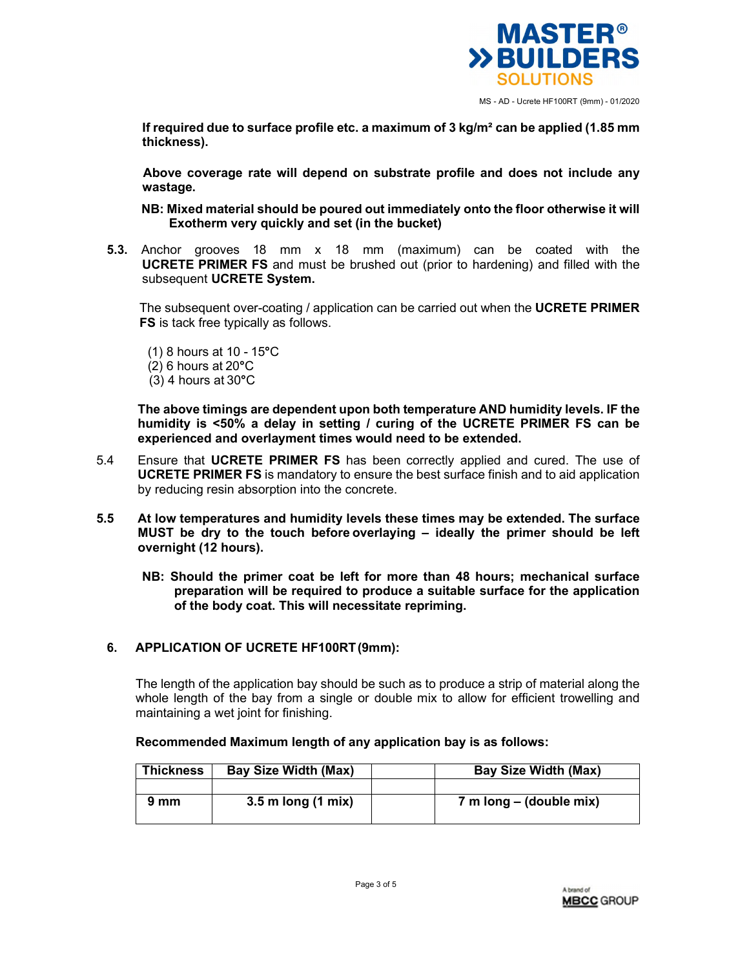

MS - AD - Ucrete HF100RT (9mm) - 01/2020

**If required due to surface profile etc. a maximum of 3 kg/m² can be applied (1.85 mm thickness).** 

**Above coverage rate will depend on substrate profile and does not include any wastage.** 

**NB: Mixed material should be poured out immediately onto the floor otherwise it will Exotherm very quickly and set (in the bucket)** 

**5.3.** Anchor grooves 18 mm x 18 mm (maximum) can be coated with the **UCRETE PRIMER FS** and must be brushed out (prior to hardening) and filled with the subsequent **UCRETE System.** 

The subsequent over-coating / application can be carried out when the **UCRETE PRIMER FS** is tack free typically as follows.

- (1) 8 hours at 10 15**°**C (2) 6 hours at 20**°**C
- (3) 4 hours at 30**°**C

**The above timings are dependent upon both temperature AND humidity levels. IF the humidity is <50% a delay in setting / curing of the UCRETE PRIMER FS can be experienced and overlayment times would need to be extended.** 

- 5.4 Ensure that **UCRETE PRIMER FS** has been correctly applied and cured. The use of **UCRETE PRIMER FS** is mandatory to ensure the best surface finish and to aid application by reducing resin absorption into the concrete.
- **5.5 At low temperatures and humidity levels these times may be extended. The surface MUST be dry to the touch before overlaying – ideally the primer should be left overnight (12 hours).** 
	- **NB: Should the primer coat be left for more than 48 hours; mechanical surface preparation will be required to produce a suitable surface for the application of the body coat. This will necessitate repriming.**

# **6. APPLICATION OF UCRETE HF100RT (9mm):**

The length of the application bay should be such as to produce a strip of material along the whole length of the bay from a single or double mix to allow for efficient trowelling and maintaining a wet joint for finishing.

| Recommended Maximum length of any application bay is as follows: |  |
|------------------------------------------------------------------|--|
|------------------------------------------------------------------|--|

| <b>Thickness</b> | <b>Bay Size Width (Max)</b> | <b>Bay Size Width (Max)</b> |
|------------------|-----------------------------|-----------------------------|
|                  |                             |                             |
| 9 mm             | $3.5$ m long (1 mix)        | 7 m long – (double mix)     |
|                  |                             |                             |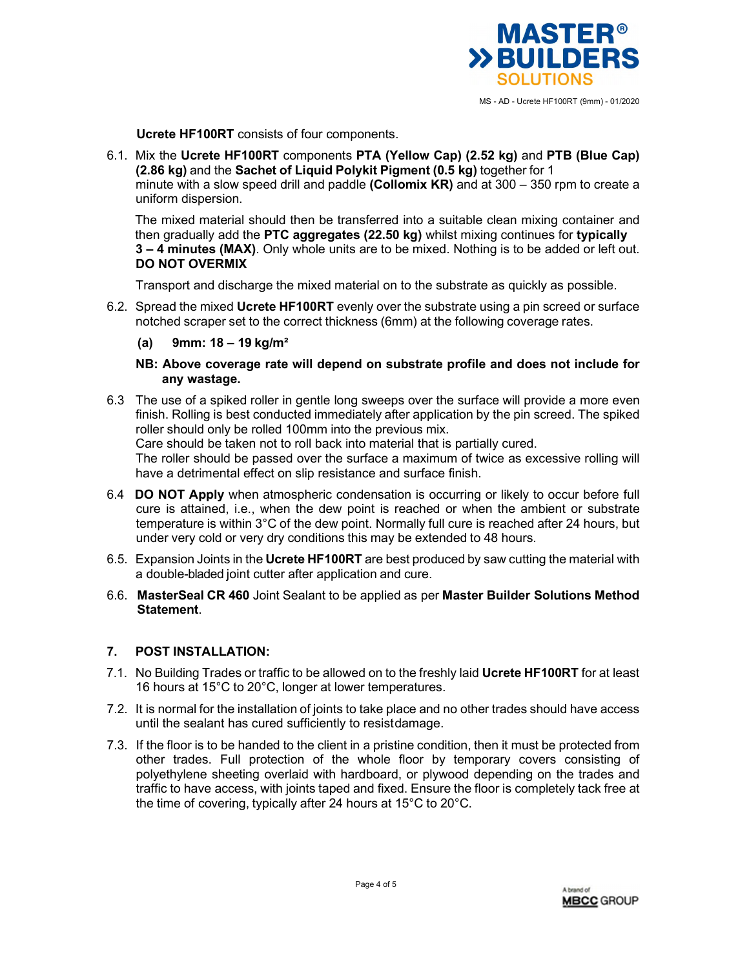

MS - AD - Ucrete HF100RT (9mm) - 01/2020

**Ucrete HF100RT** consists of four components.

6.1. Mix the **Ucrete HF100RT** components **PTA (Yellow Cap) (2.52 kg)** and **PTB (Blue Cap) (2.86 kg)** and the **Sachet of Liquid Polykit Pigment (0.5 kg)** together for 1 minute with a slow speed drill and paddle **(Collomix KR)** and at 300 – 350 rpm to create a uniform dispersion.

The mixed material should then be transferred into a suitable clean mixing container and then gradually add the **PTC aggregates (22.50 kg)** whilst mixing continues for **typically 3 – 4 minutes (MAX)**. Only whole units are to be mixed. Nothing is to be added or left out. **DO NOT OVERMIX**

Transport and discharge the mixed material on to the substrate as quickly as possible.

- 6.2. Spread the mixed **Ucrete HF100RT** evenly over the substrate using a pin screed or surface notched scraper set to the correct thickness (6mm) at the following coverage rates.
	- **(a) 9mm: 18 19 kg/m²**
	- **NB: Above coverage rate will depend on substrate profile and does not include for any wastage.**
- 6.3 The use of a spiked roller in gentle long sweeps over the surface will provide a more even finish. Rolling is best conducted immediately after application by the pin screed. The spiked roller should only be rolled 100mm into the previous mix.

Care should be taken not to roll back into material that is partially cured.

The roller should be passed over the surface a maximum of twice as excessive rolling will have a detrimental effect on slip resistance and surface finish.

- 6.4 **DO NOT Apply** when atmospheric condensation is occurring or likely to occur before full cure is attained, i.e., when the dew point is reached or when the ambient or substrate temperature is within 3°C of the dew point. Normally full cure is reached after 24 hours, but under very cold or very dry conditions this may be extended to 48 hours.
- 6.5. Expansion Joints in the **Ucrete HF100RT** are best produced by saw cutting the material with a double-bladed joint cutter after application and cure.
- 6.6. **MasterSeal CR 460** Joint Sealant to be applied as per **Master Builder Solutions Method Statement**.

# **7. POST INSTALLATION:**

- 7.1. No Building Trades or traffic to be allowed on to the freshly laid **Ucrete HF100RT** for at least 16 hours at 15°C to 20°C, longer at lower temperatures.
- 7.2. It is normal for the installation of joints to take place and no other trades should have access until the sealant has cured sufficiently to resist damage.
- 7.3. If the floor is to be handed to the client in a pristine condition, then it must be protected from other trades. Full protection of the whole floor by temporary covers consisting of polyethylene sheeting overlaid with hardboard, or plywood depending on the trades and traffic to have access, with joints taped and fixed. Ensure the floor is completely tack free at the time of covering, typically after 24 hours at 15°C to 20°C.